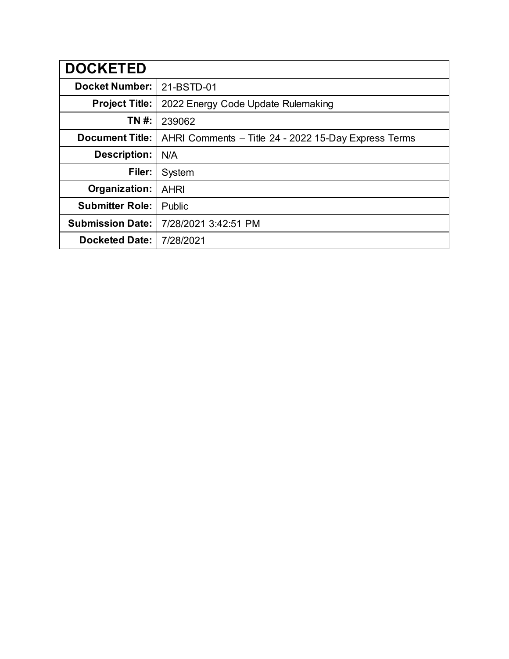| <b>DOCKETED</b>         |                                                      |  |  |
|-------------------------|------------------------------------------------------|--|--|
| <b>Docket Number:</b>   | 21-BSTD-01                                           |  |  |
| <b>Project Title:</b>   | 2022 Energy Code Update Rulemaking                   |  |  |
| TN #:                   | 239062                                               |  |  |
| <b>Document Title:</b>  | AHRI Comments - Title 24 - 2022 15-Day Express Terms |  |  |
| <b>Description:</b>     | N/A                                                  |  |  |
| Filer:                  | System                                               |  |  |
| Organization:           | <b>AHRI</b>                                          |  |  |
| <b>Submitter Role:</b>  | Public                                               |  |  |
| <b>Submission Date:</b> | 7/28/2021 3:42:51 PM                                 |  |  |
| <b>Docketed Date:</b>   | 7/28/2021                                            |  |  |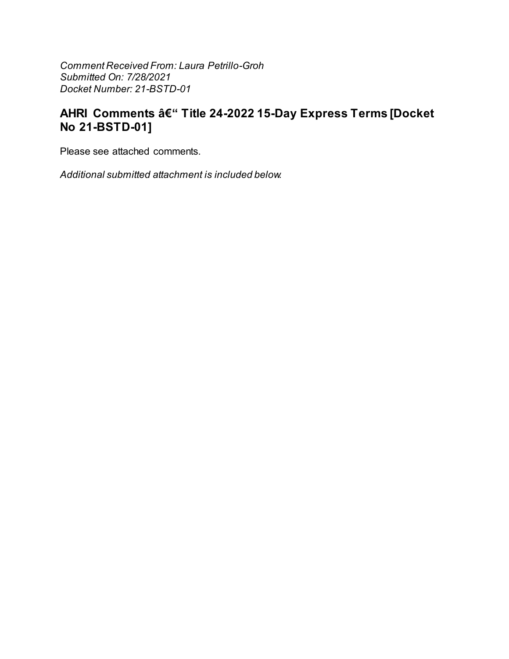Comment Received From: Laura Petrillo-Groh Submitted On: 7/28/2021 Docket Number: 21-BSTD-01

# AHRI Comments – Title 24-2022 15-Day Express Terms [Docket No 21-BSTD-01]

Please see attached comments.

Additional submitted attachment is included below.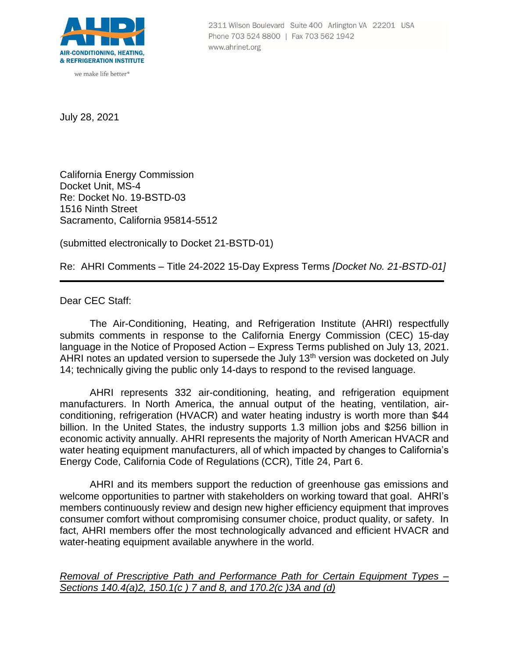

we make life better<sup>®</sup>

2311 Wilson Boulevard Suite 400 Arlington VA 22201 USA Phone 703 524 8800 | Fax 703 562 1942 www.ahrinet.org

July 28, 2021

California Energy Commission Docket Unit, MS-4 Re: Docket No. 19-BSTD-03 1516 Ninth Street Sacramento, California 95814-5512

(submitted electronically to Docket 21-BSTD-01)

Re: AHRI Comments – Title 24-2022 15-Day Express Terms *[Docket No. 21-BSTD-01]*

Dear CEC Staff:

The Air-Conditioning, Heating, and Refrigeration Institute (AHRI) respectfully submits comments in response to the California Energy Commission (CEC) 15-day language in the Notice of Proposed Action – Express Terms published on July 13, 2021. AHRI notes an updated version to supersede the July 13<sup>th</sup> version was docketed on July 14; technically giving the public only 14-days to respond to the revised language.

AHRI represents 332 air-conditioning, heating, and refrigeration equipment manufacturers. In North America, the annual output of the heating, ventilation, airconditioning, refrigeration (HVACR) and water heating industry is worth more than \$44 billion. In the United States, the industry supports 1.3 million jobs and \$256 billion in economic activity annually. AHRI represents the majority of North American HVACR and water heating equipment manufacturers, all of which impacted by changes to California's Energy Code, California Code of Regulations (CCR), Title 24, Part 6.

AHRI and its members support the reduction of greenhouse gas emissions and welcome opportunities to partner with stakeholders on working toward that goal. AHRI's members continuously review and design new higher efficiency equipment that improves consumer comfort without compromising consumer choice, product quality, or safety. In fact, AHRI members offer the most technologically advanced and efficient HVACR and water-heating equipment available anywhere in the world.

*Removal of Prescriptive Path and Performance Path for Certain Equipment Types – Sections 140.4(a)2, 150.1(c ) 7 and 8, and 170.2(c )3A and (d)*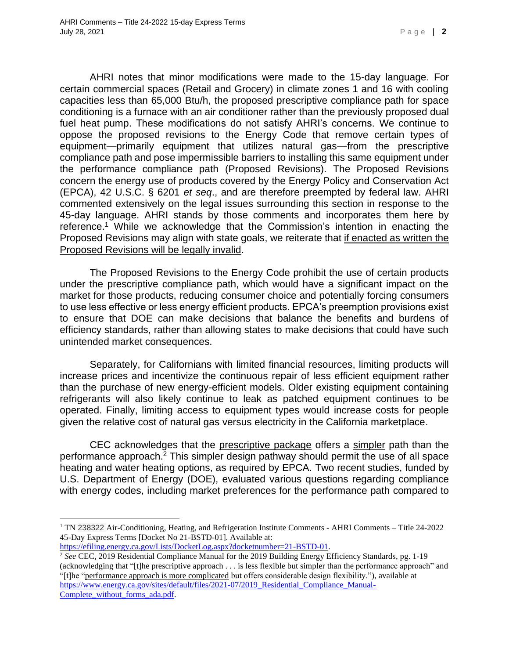AHRI notes that minor modifications were made to the 15-day language. For certain commercial spaces (Retail and Grocery) in climate zones 1 and 16 with cooling capacities less than 65,000 Btu/h, the proposed prescriptive compliance path for space conditioning is a furnace with an air conditioner rather than the previously proposed dual fuel heat pump. These modifications do not satisfy AHRI's concerns. We continue to oppose the proposed revisions to the Energy Code that remove certain types of equipment—primarily equipment that utilizes natural gas—from the prescriptive compliance path and pose impermissible barriers to installing this same equipment under the performance compliance path (Proposed Revisions). The Proposed Revisions concern the energy use of products covered by the Energy Policy and Conservation Act (EPCA), 42 U.S.C. § 6201 *et seq*., and are therefore preempted by federal law. AHRI commented extensively on the legal issues surrounding this section in response to the 45-day language. AHRI stands by those comments and incorporates them here by reference. <sup>1</sup> While we acknowledge that the Commission's intention in enacting the Proposed Revisions may align with state goals, we reiterate that if enacted as written the Proposed Revisions will be legally invalid.

The Proposed Revisions to the Energy Code prohibit the use of certain products under the prescriptive compliance path, which would have a significant impact on the market for those products, reducing consumer choice and potentially forcing consumers to use less effective or less energy efficient products. EPCA's preemption provisions exist to ensure that DOE can make decisions that balance the benefits and burdens of efficiency standards, rather than allowing states to make decisions that could have such unintended market consequences.

Separately, for Californians with limited financial resources, limiting products will increase prices and incentivize the continuous repair of less efficient equipment rather than the purchase of new energy-efficient models. Older existing equipment containing refrigerants will also likely continue to leak as patched equipment continues to be operated. Finally, limiting access to equipment types would increase costs for people given the relative cost of natural gas versus electricity in the California marketplace.

CEC acknowledges that the prescriptive package offers a simpler path than the performance approach. <sup>2</sup> This simpler design pathway should permit the use of all space heating and water heating options, as required by EPCA. Two recent studies, funded by U.S. Department of Energy (DOE), evaluated various questions regarding compliance with energy codes, including market preferences for the performance path compared to

<sup>1</sup> TN 238322 Air-Conditioning, Heating, and Refrigeration Institute Comments - AHRI Comments – Title 24-2022 45-Day Express Terms [Docket No 21-BSTD-01]. Available at:

[https://efiling.energy.ca.gov/Lists/DocketLog.aspx?docketnumber=21-BSTD-01.](https://efiling.energy.ca.gov/Lists/DocketLog.aspx?docketnumber=21-BSTD-01)

<sup>&</sup>lt;sup>2</sup> See CEC, 2019 Residential Compliance Manual for the 2019 Building Energy Efficiency Standards, pg. 1-19 (acknowledging that "[t]he prescriptive approach . . . is less flexible but simpler than the performance approach" and "[t]he "performance approach is more complicated but offers considerable design flexibility."), available at https://www.energy.ca.gov/sites/default/files/2021-07/2019 Residential Compliance Manual-[Complete\\_without\\_forms\\_ada.pdf.](https://www.energy.ca.gov/sites/default/files/2021-07/2019_Residential_Compliance_Manual-Complete_without_forms_ada.pdf)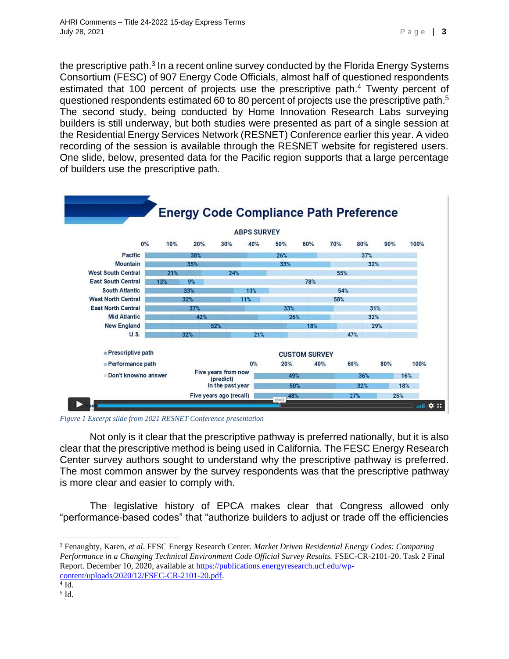the prescriptive path.<sup>3</sup> In a recent online survey conducted by the Florida Energy Systems Consortium (FESC) of 907 Energy Code Officials, almost half of questioned respondents estimated that 100 percent of projects use the prescriptive path.<sup>4</sup> Twenty percent of questioned respondents estimated 60 to 80 percent of projects use the prescriptive path.<sup>5</sup> The second study, being conducted by Home Innovation Research Labs surveying builders is still underway, but both studies were presented as part of a single session at the Residential Energy Services Network (RESNET) Conference earlier this year. A video recording of the session is available through the RESNET website for registered users. One slide, below, presented data for the Pacific region supports that a large percentage of builders use the prescriptive path.



*Figure 1 Excerpt slide from 2021 RESNET Conference presentation*

Not only is it clear that the prescriptive pathway is preferred nationally, but it is also clear that the prescriptive method is being used in California. The FESC Energy Research Center survey authors sought to understand why the prescriptive pathway is preferred. The most common answer by the survey respondents was that the prescriptive pathway is more clear and easier to comply with.

The legislative history of EPCA makes clear that Congress allowed only "performance-based codes" that "authorize builders to adjust or trade off the efficiencies

<sup>3</sup> Fenaughty, Karen, *et al*. FESC Energy Research Center. *Market Driven Residential Energy Codes: Comparing Performance in a Changing Technical Environment Code Official Survey Results.* FSEC-CR-2101-20. Task 2 Final Report. December 10, 2020, available at [https://publications.energyresearch.ucf.edu/wp](https://publications.energyresearch.ucf.edu/wp-content/uploads/2020/12/FSEC-CR-2101-20.pdf)[content/uploads/2020/12/FSEC-CR-2101-20.pdf.](https://publications.energyresearch.ucf.edu/wp-content/uploads/2020/12/FSEC-CR-2101-20.pdf)

 $4$  Id.

<sup>5</sup> Id.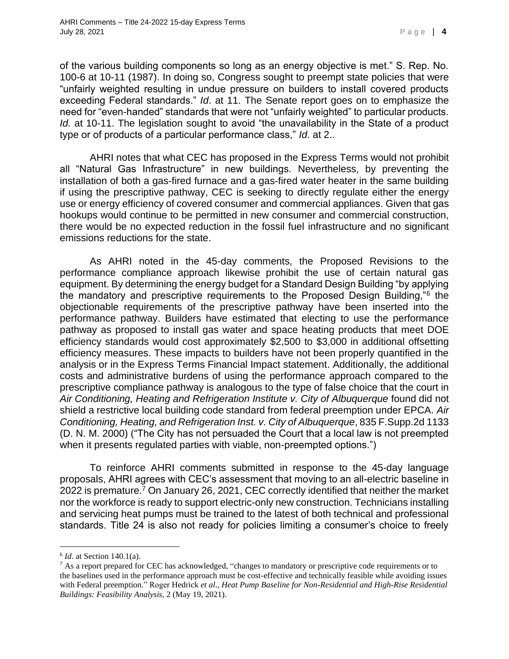of the various building components so long as an energy objective is met." S. Rep. No. 100-6 at 10-11 (1987). In doing so, Congress sought to preempt state policies that were "unfairly weighted resulting in undue pressure on builders to install covered products exceeding Federal standards." *Id*. at 11. The Senate report goes on to emphasize the need for "even-handed" standards that were not "unfairly weighted" to particular products. *Id.* at 10-11. The legislation sought to avoid "the unavailability in the State of a product type or of products of a particular performance class," *Id*. at 2..

AHRI notes that what CEC has proposed in the Express Terms would not prohibit all "Natural Gas Infrastructure" in new buildings. Nevertheless, by preventing the installation of both a gas-fired furnace and a gas-fired water heater in the same building if using the prescriptive pathway, CEC is seeking to directly regulate either the energy use or energy efficiency of covered consumer and commercial appliances. Given that gas hookups would continue to be permitted in new consumer and commercial construction, there would be no expected reduction in the fossil fuel infrastructure and no significant emissions reductions for the state.

As AHRI noted in the 45-day comments, the Proposed Revisions to the performance compliance approach likewise prohibit the use of certain natural gas equipment. By determining the energy budget for a Standard Design Building "by applying the mandatory and prescriptive requirements to the Proposed Design Building,"<sup>6</sup> the objectionable requirements of the prescriptive pathway have been inserted into the performance pathway. Builders have estimated that electing to use the performance pathway as proposed to install gas water and space heating products that meet DOE efficiency standards would cost approximately \$2,500 to \$3,000 in additional offsetting efficiency measures. These impacts to builders have not been properly quantified in the analysis or in the Express Terms Financial Impact statement. Additionally, the additional costs and administrative burdens of using the performance approach compared to the prescriptive compliance pathway is analogous to the type of false choice that the court in *Air Conditioning, Heating and Refrigeration Institute v. City of Albuquerque* found did not shield a restrictive local building code standard from federal preemption under EPCA. *Air Conditioning, Heating, and Refrigeration Inst. v. City of Albuquerque*, 835 F.Supp.2d 1133 (D. N. M. 2000) ("The City has not persuaded the Court that a local law is not preempted when it presents regulated parties with viable, non-preempted options.")

To reinforce AHRI comments submitted in response to the 45-day language proposals, AHRI agrees with CEC's assessment that moving to an all-electric baseline in 2022 is premature.<sup>7</sup> On January 26, 2021, CEC correctly identified that neither the market nor the workforce is ready to support electric-only new construction. Technicians installing and servicing heat pumps must be trained to the latest of both technical and professional standards. Title 24 is also not ready for policies limiting a consumer's choice to freely

<sup>&</sup>lt;sup>6</sup> *Id.* at Section 140.1(a).

<sup>&</sup>lt;sup>7</sup> As a report prepared for CEC has acknowledged, "changes to mandatory or prescriptive code requirements or to the baselines used in the performance approach must be cost-effective and technically feasible while avoiding issues with Federal preemption." Roger Hedrick *et al*., *Heat Pump Baseline for Non-Residential and High-Rise Residential Buildings: Feasibility Analysis*, 2 (May 19, 2021).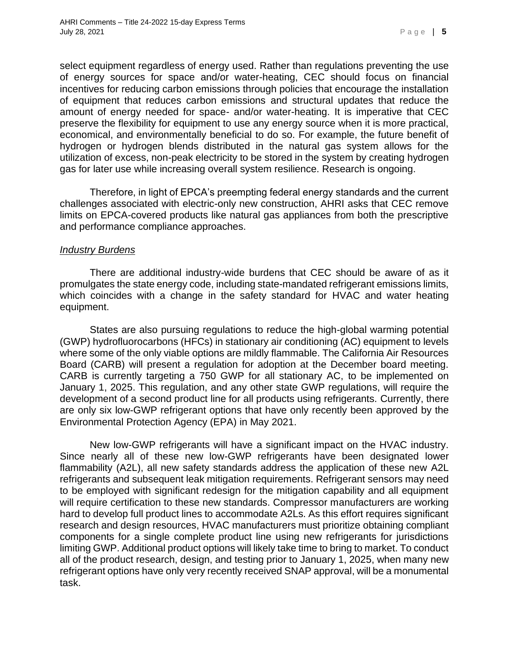select equipment regardless of energy used. Rather than regulations preventing the use of energy sources for space and/or water-heating, CEC should focus on financial incentives for reducing carbon emissions through policies that encourage the installation of equipment that reduces carbon emissions and structural updates that reduce the amount of energy needed for space- and/or water-heating. It is imperative that CEC preserve the flexibility for equipment to use any energy source when it is more practical, economical, and environmentally beneficial to do so. For example, the future benefit of hydrogen or hydrogen blends distributed in the natural gas system allows for the utilization of excess, non-peak electricity to be stored in the system by creating hydrogen gas for later use while increasing overall system resilience. Research is ongoing.

Therefore, in light of EPCA's preempting federal energy standards and the current challenges associated with electric-only new construction, AHRI asks that CEC remove limits on EPCA-covered products like natural gas appliances from both the prescriptive and performance compliance approaches.

#### *Industry Burdens*

There are additional industry-wide burdens that CEC should be aware of as it promulgates the state energy code, including state-mandated refrigerant emissions limits, which coincides with a change in the safety standard for HVAC and water heating equipment.

States are also pursuing regulations to reduce the high-global warming potential (GWP) hydrofluorocarbons (HFCs) in stationary air conditioning (AC) equipment to levels where some of the only viable options are mildly flammable. The California Air Resources Board (CARB) will present a regulation for adoption at the December board meeting. CARB is currently targeting a 750 GWP for all stationary AC, to be implemented on January 1, 2025. This regulation, and any other state GWP regulations, will require the development of a second product line for all products using refrigerants. Currently, there are only six low-GWP refrigerant options that have only recently been approved by the Environmental Protection Agency (EPA) in May 2021.

New low-GWP refrigerants will have a significant impact on the HVAC industry. Since nearly all of these new low-GWP refrigerants have been designated lower flammability (A2L), all new safety standards address the application of these new A2L refrigerants and subsequent leak mitigation requirements. Refrigerant sensors may need to be employed with significant redesign for the mitigation capability and all equipment will require certification to these new standards. Compressor manufacturers are working hard to develop full product lines to accommodate A2Ls. As this effort requires significant research and design resources, HVAC manufacturers must prioritize obtaining compliant components for a single complete product line using new refrigerants for jurisdictions limiting GWP. Additional product options will likely take time to bring to market. To conduct all of the product research, design, and testing prior to January 1, 2025, when many new refrigerant options have only very recently received SNAP approval, will be a monumental task.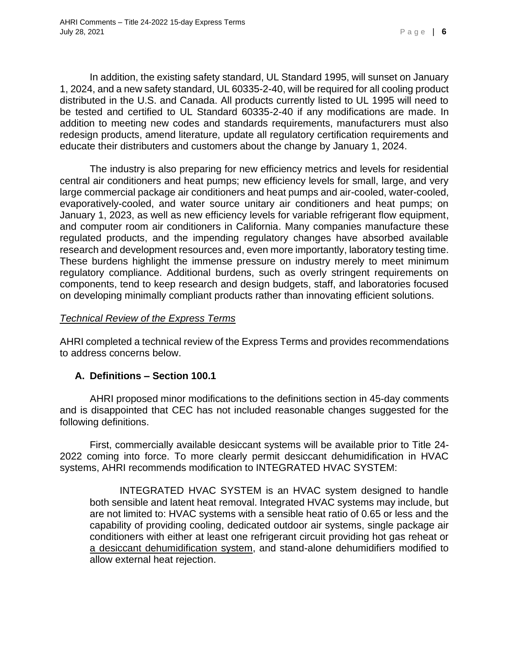In addition, the existing safety standard, UL Standard 1995, will sunset on January 1, 2024, and a new safety standard, UL 60335-2-40, will be required for all cooling product distributed in the U.S. and Canada. All products currently listed to UL 1995 will need to be tested and certified to UL Standard 60335-2-40 if any modifications are made. In addition to meeting new codes and standards requirements, manufacturers must also redesign products, amend literature, update all regulatory certification requirements and educate their distributers and customers about the change by January 1, 2024.

The industry is also preparing for new efficiency metrics and levels for residential central air conditioners and heat pumps; new efficiency levels for small, large, and very large commercial package air conditioners and heat pumps and air-cooled, water-cooled, evaporatively-cooled, and water source unitary air conditioners and heat pumps; on January 1, 2023, as well as new efficiency levels for variable refrigerant flow equipment, and computer room air conditioners in California. Many companies manufacture these regulated products, and the impending regulatory changes have absorbed available research and development resources and, even more importantly, laboratory testing time. These burdens highlight the immense pressure on industry merely to meet minimum regulatory compliance. Additional burdens, such as overly stringent requirements on components, tend to keep research and design budgets, staff, and laboratories focused on developing minimally compliant products rather than innovating efficient solutions.

#### *Technical Review of the Express Terms*

AHRI completed a technical review of the Express Terms and provides recommendations to address concerns below.

#### **A. Definitions – Section 100.1**

AHRI proposed minor modifications to the definitions section in 45-day comments and is disappointed that CEC has not included reasonable changes suggested for the following definitions.

First, commercially available desiccant systems will be available prior to Title 24- 2022 coming into force. To more clearly permit desiccant dehumidification in HVAC systems, AHRI recommends modification to INTEGRATED HVAC SYSTEM:

INTEGRATED HVAC SYSTEM is an HVAC system designed to handle both sensible and latent heat removal. Integrated HVAC systems may include, but are not limited to: HVAC systems with a sensible heat ratio of 0.65 or less and the capability of providing cooling, dedicated outdoor air systems, single package air conditioners with either at least one refrigerant circuit providing hot gas reheat or a desiccant dehumidification system, and stand-alone dehumidifiers modified to allow external heat rejection.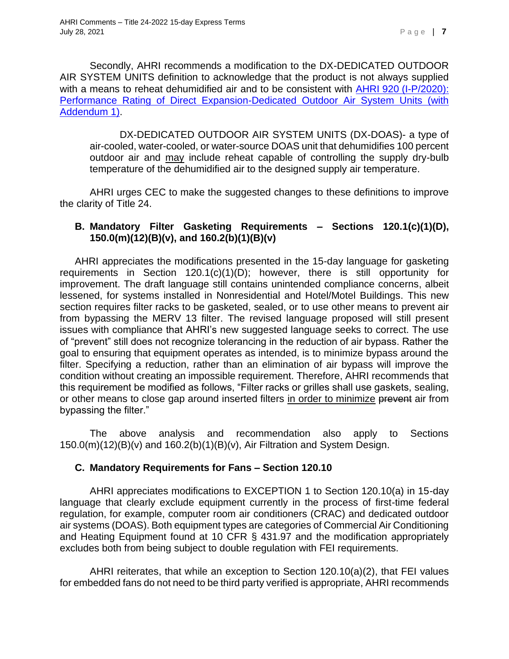Secondly, AHRI recommends a modification to the DX-DEDICATED OUTDOOR AIR SYSTEM UNITS definition to acknowledge that the product is not always supplied with a means to reheat dehumidified air and to be consistent with AHRI 920 (I-P/2020): [Performance Rating of Direct Expansion-Dedicated Outdoor Air System Units \(with](https://ahrinet.org/App_Content/ahri/files/STANDARDS/AHRI/AHRI_Standard_920_I-P_2020_add1.pdf)  [Addendum 1\).](https://ahrinet.org/App_Content/ahri/files/STANDARDS/AHRI/AHRI_Standard_920_I-P_2020_add1.pdf)

DX-DEDICATED OUTDOOR AIR SYSTEM UNITS (DX-DOAS)- a type of air-cooled, water-cooled, or water-source DOAS unit that dehumidifies 100 percent outdoor air and may include reheat capable of controlling the supply dry-bulb temperature of the dehumidified air to the designed supply air temperature.

AHRI urges CEC to make the suggested changes to these definitions to improve the clarity of Title 24.

### **B. Mandatory Filter Gasketing Requirements – Sections 120.1(c)(1)(D), 150.0(m)(12)(B)(v), and 160.2(b)(1)(B)(v)**

AHRI appreciates the modifications presented in the 15-day language for gasketing requirements in Section 120.1(c)(1)(D); however, there is still opportunity for improvement. The draft language still contains unintended compliance concerns, albeit lessened, for systems installed in Nonresidential and Hotel/Motel Buildings. This new section requires filter racks to be gasketed, sealed, or to use other means to prevent air from bypassing the MERV 13 filter. The revised language proposed will still present issues with compliance that AHRI's new suggested language seeks to correct. The use of "prevent" still does not recognize tolerancing in the reduction of air bypass. Rather the goal to ensuring that equipment operates as intended, is to minimize bypass around the filter. Specifying a reduction, rather than an elimination of air bypass will improve the condition without creating an impossible requirement. Therefore, AHRI recommends that this requirement be modified as follows, "Filter racks or grilles shall use gaskets, sealing, or other means to close gap around inserted filters in order to minimize prevent air from bypassing the filter."

The above analysis and recommendation also apply to Sections 150.0(m)(12)(B)(v) and 160.2(b)(1)(B)(v), Air Filtration and System Design.

#### **C. Mandatory Requirements for Fans – Section 120.10**

AHRI appreciates modifications to EXCEPTION 1 to Section 120.10(a) in 15-day language that clearly exclude equipment currently in the process of first-time federal regulation, for example, computer room air conditioners (CRAC) and dedicated outdoor air systems (DOAS). Both equipment types are categories of Commercial Air Conditioning and Heating Equipment found at 10 CFR § 431.97 and the modification appropriately excludes both from being subject to double regulation with FEI requirements.

AHRI reiterates, that while an exception to Section 120.10(a)(2), that FEI values for embedded fans do not need to be third party verified is appropriate, AHRI recommends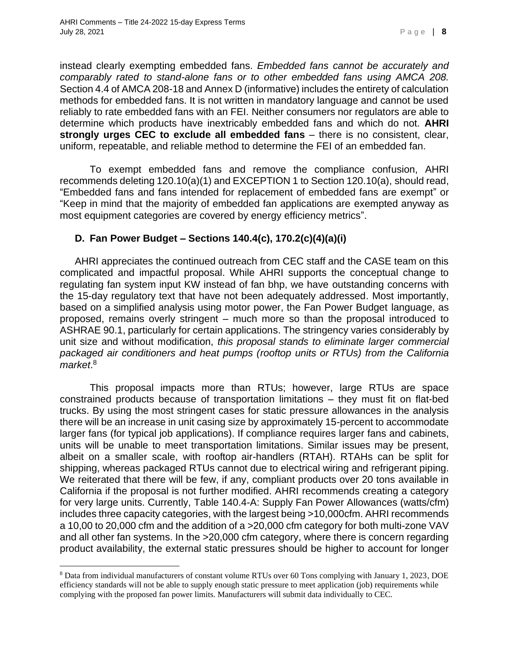instead clearly exempting embedded fans. *Embedded fans cannot be accurately and comparably rated to stand-alone fans or to other embedded fans using AMCA 208.*  Section 4.4 of AMCA 208-18 and Annex D (informative) includes the entirety of calculation methods for embedded fans. It is not written in mandatory language and cannot be used reliably to rate embedded fans with an FEI. Neither consumers nor regulators are able to determine which products have inextricably embedded fans and which do not. **AHRI strongly urges CEC to exclude all embedded fans** – there is no consistent, clear, uniform, repeatable, and reliable method to determine the FEI of an embedded fan.

To exempt embedded fans and remove the compliance confusion, AHRI recommends deleting 120.10(a)(1) and EXCEPTION 1 to Section 120.10(a), should read, "Embedded fans and fans intended for replacement of embedded fans are exempt" or "Keep in mind that the majority of embedded fan applications are exempted anyway as most equipment categories are covered by energy efficiency metrics".

#### **D. Fan Power Budget – Sections 140.4(c), 170.2(c)(4)(a)(i)**

AHRI appreciates the continued outreach from CEC staff and the CASE team on this complicated and impactful proposal. While AHRI supports the conceptual change to regulating fan system input KW instead of fan bhp, we have outstanding concerns with the 15-day regulatory text that have not been adequately addressed. Most importantly, based on a simplified analysis using motor power, the Fan Power Budget language, as proposed, remains overly stringent – much more so than the proposal introduced to ASHRAE 90.1, particularly for certain applications. The stringency varies considerably by unit size and without modification, *this proposal stands to eliminate larger commercial packaged air conditioners and heat pumps (rooftop units or RTUs) from the California market*. 8

This proposal impacts more than RTUs; however, large RTUs are space constrained products because of transportation limitations – they must fit on flat-bed trucks. By using the most stringent cases for static pressure allowances in the analysis there will be an increase in unit casing size by approximately 15-percent to accommodate larger fans (for typical job applications). If compliance requires larger fans and cabinets, units will be unable to meet transportation limitations. Similar issues may be present, albeit on a smaller scale, with rooftop air-handlers (RTAH). RTAHs can be split for shipping, whereas packaged RTUs cannot due to electrical wiring and refrigerant piping. We reiterated that there will be few, if any, compliant products over 20 tons available in California if the proposal is not further modified. AHRI recommends creating a category for very large units. Currently, Table 140.4-A: Supply Fan Power Allowances (watts/cfm) includes three capacity categories, with the largest being >10,000cfm. AHRI recommends a 10,00 to 20,000 cfm and the addition of a >20,000 cfm category for both multi-zone VAV and all other fan systems. In the >20,000 cfm category, where there is concern regarding product availability, the external static pressures should be higher to account for longer

<sup>8</sup> Data from individual manufacturers of constant volume RTUs over 60 Tons complying with January 1, 2023, DOE efficiency standards will not be able to supply enough static pressure to meet application (job) requirements while complying with the proposed fan power limits. Manufacturers will submit data individually to CEC.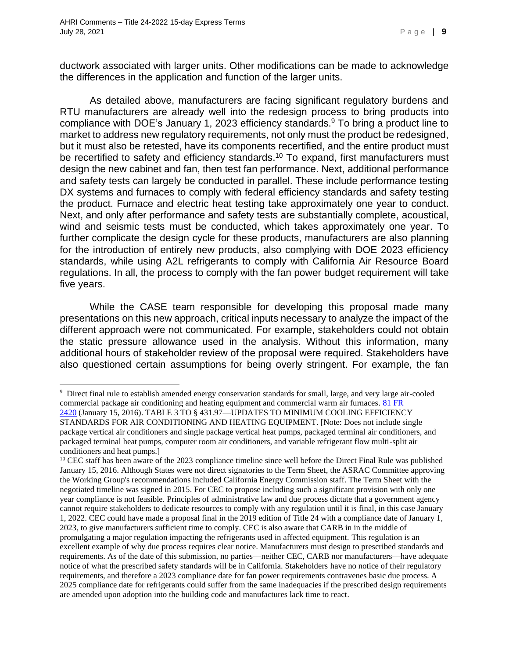ductwork associated with larger units. Other modifications can be made to acknowledge the differences in the application and function of the larger units.

As detailed above, manufacturers are facing significant regulatory burdens and RTU manufacturers are already well into the redesign process to bring products into compliance with DOE's January 1, 2023 efficiency standards.<sup>9</sup> To bring a product line to market to address new regulatory requirements, not only must the product be redesigned, but it must also be retested, have its components recertified, and the entire product must be recertified to safety and efficiency standards.<sup>10</sup> To expand, first manufacturers must design the new cabinet and fan, then test fan performance. Next, additional performance and safety tests can largely be conducted in parallel. These include performance testing DX systems and furnaces to comply with federal efficiency standards and safety testing the product. Furnace and electric heat testing take approximately one year to conduct. Next, and only after performance and safety tests are substantially complete, acoustical, wind and seismic tests must be conducted, which takes approximately one year. To further complicate the design cycle for these products, manufacturers are also planning for the introduction of entirely new products, also complying with DOE 2023 efficiency standards, while using A2L refrigerants to comply with California Air Resource Board regulations. In all, the process to comply with the fan power budget requirement will take five years.

While the CASE team responsible for developing this proposal made many presentations on this new approach, critical inputs necessary to analyze the impact of the different approach were not communicated. For example, stakeholders could not obtain the static pressure allowance used in the analysis. Without this information, many additional hours of stakeholder review of the proposal were required. Stakeholders have also questioned certain assumptions for being overly stringent. For example, the fan

<sup>9</sup> Direct final rule to establish amended energy conservation standards for small, large, and very large air-cooled commercial package air conditioning and heating equipment and commercial warm air furnaces[. 81 FR](https://www.regulations.gov/document?D=EERE-2013-BT-STD-0007-0113)  [2420](https://www.regulations.gov/document?D=EERE-2013-BT-STD-0007-0113) (January 15, 2016). TABLE 3 TO § 431.97—UPDATES TO MINIMUM COOLING EFFICIENCY STANDARDS FOR AIR CONDITIONING AND HEATING EQUIPMENT. [Note: Does not include single package vertical air conditioners and single package vertical heat pumps, packaged terminal air conditioners, and packaged terminal heat pumps, computer room air conditioners, and variable refrigerant flow multi-split air conditioners and heat pumps.]

<sup>&</sup>lt;sup>10</sup> CEC staff has been aware of the 2023 compliance timeline since well before the Direct Final Rule was published January 15, 2016. Although States were not direct signatories to the Term Sheet, the ASRAC Committee approving the Working Group's recommendations included California Energy Commission staff. The Term Sheet with the negotiated timeline was signed in 2015. For CEC to propose including such a significant provision with only one year compliance is not feasible. Principles of administrative law and due process dictate that a government agency cannot require stakeholders to dedicate resources to comply with any regulation until it is final, in this case January 1, 2022. CEC could have made a proposal final in the 2019 edition of Title 24 with a compliance date of January 1, 2023, to give manufacturers sufficient time to comply. CEC is also aware that CARB in in the middle of promulgating a major regulation impacting the refrigerants used in affected equipment. This regulation is an excellent example of why due process requires clear notice. Manufacturers must design to prescribed standards and requirements. As of the date of this submission, no parties—neither CEC, CARB nor manufacturers—have adequate notice of what the prescribed safety standards will be in California. Stakeholders have no notice of their regulatory requirements, and therefore a 2023 compliance date for fan power requirements contravenes basic due process. A 2025 compliance date for refrigerants could suffer from the same inadequacies if the prescribed design requirements are amended upon adoption into the building code and manufactures lack time to react.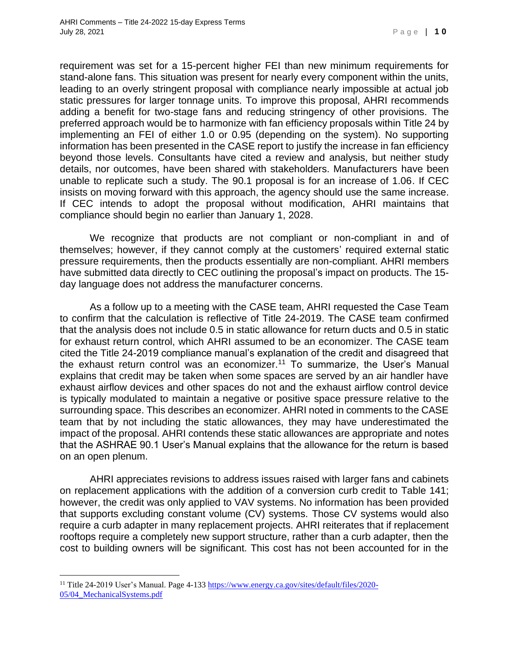requirement was set for a 15-percent higher FEI than new minimum requirements for stand-alone fans. This situation was present for nearly every component within the units, leading to an overly stringent proposal with compliance nearly impossible at actual job static pressures for larger tonnage units. To improve this proposal, AHRI recommends adding a benefit for two-stage fans and reducing stringency of other provisions. The preferred approach would be to harmonize with fan efficiency proposals within Title 24 by implementing an FEI of either 1.0 or 0.95 (depending on the system). No supporting information has been presented in the CASE report to justify the increase in fan efficiency beyond those levels. Consultants have cited a review and analysis, but neither study details, nor outcomes, have been shared with stakeholders. Manufacturers have been unable to replicate such a study. The 90.1 proposal is for an increase of 1.06. If CEC insists on moving forward with this approach, the agency should use the same increase. If CEC intends to adopt the proposal without modification, AHRI maintains that compliance should begin no earlier than January 1, 2028.

We recognize that products are not compliant or non-compliant in and of themselves; however, if they cannot comply at the customers' required external static pressure requirements, then the products essentially are non-compliant. AHRI members have submitted data directly to CEC outlining the proposal's impact on products. The 15 day language does not address the manufacturer concerns.

As a follow up to a meeting with the CASE team, AHRI requested the Case Team to confirm that the calculation is reflective of Title 24-2019. The CASE team confirmed that the analysis does not include 0.5 in static allowance for return ducts and 0.5 in static for exhaust return control, which AHRI assumed to be an economizer. The CASE team cited the Title 24-2019 compliance manual's explanation of the credit and disagreed that the exhaust return control was an economizer.<sup>11</sup> To summarize, the User's Manual explains that credit may be taken when some spaces are served by an air handler have exhaust airflow devices and other spaces do not and the exhaust airflow control device is typically modulated to maintain a negative or positive space pressure relative to the surrounding space. This describes an economizer. AHRI noted in comments to the CASE team that by not including the static allowances, they may have underestimated the impact of the proposal. AHRI contends these static allowances are appropriate and notes that the ASHRAE 90.1 User's Manual explains that the allowance for the return is based on an open plenum.

AHRI appreciates revisions to address issues raised with larger fans and cabinets on replacement applications with the addition of a conversion curb credit to Table 141; however, the credit was only applied to VAV systems. No information has been provided that supports excluding constant volume (CV) systems. Those CV systems would also require a curb adapter in many replacement projects. AHRI reiterates that if replacement rooftops require a completely new support structure, rather than a curb adapter, then the cost to building owners will be significant. This cost has not been accounted for in the

<sup>11</sup> Title 24-2019 User's Manual. Page 4-133 [https://www.energy.ca.gov/sites/default/files/2020-](https://urldefense.proofpoint.com/v2/url?u=https-3A__www.energy.ca.gov_sites_default_files_2020-2D05_04-5FMechanicalSystems.pdf&d=DwQGAg&c=euGZstcaTDllvimEN8b7jXrwqOf-v5A_CdpgnVfiiMM&r=bTaAXQRIfpCyG_wQCjdPadC0pj5JjhTlvXRgYFLBVzs&m=capHm6t_5OWyDoTaimImfQGnz0dGN8331CPmaDr4pMw&s=2IDtgCynSj_f2CDx4nxDMwP20A1mf4Kz9Jln5FpIgqQ&e=) [05/04\\_MechanicalSystems.pdf](https://urldefense.proofpoint.com/v2/url?u=https-3A__www.energy.ca.gov_sites_default_files_2020-2D05_04-5FMechanicalSystems.pdf&d=DwQGAg&c=euGZstcaTDllvimEN8b7jXrwqOf-v5A_CdpgnVfiiMM&r=bTaAXQRIfpCyG_wQCjdPadC0pj5JjhTlvXRgYFLBVzs&m=capHm6t_5OWyDoTaimImfQGnz0dGN8331CPmaDr4pMw&s=2IDtgCynSj_f2CDx4nxDMwP20A1mf4Kz9Jln5FpIgqQ&e=)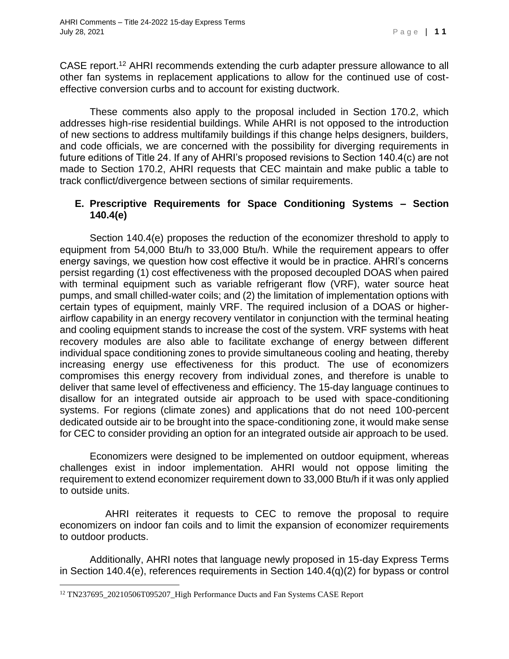CASE report.<sup>12</sup> AHRI recommends extending the curb adapter pressure allowance to all other fan systems in replacement applications to allow for the continued use of costeffective conversion curbs and to account for existing ductwork.

These comments also apply to the proposal included in Section 170.2, which addresses high-rise residential buildings. While AHRI is not opposed to the introduction of new sections to address multifamily buildings if this change helps designers, builders, and code officials, we are concerned with the possibility for diverging requirements in future editions of Title 24. If any of AHRI's proposed revisions to Section 140.4(c) are not made to Section 170.2, AHRI requests that CEC maintain and make public a table to track conflict/divergence between sections of similar requirements.

### **E. Prescriptive Requirements for Space Conditioning Systems – Section 140.4(e)**

Section 140.4(e) proposes the reduction of the economizer threshold to apply to equipment from 54,000 Btu/h to 33,000 Btu/h. While the requirement appears to offer energy savings, we question how cost effective it would be in practice. AHRI's concerns persist regarding (1) cost effectiveness with the proposed decoupled DOAS when paired with terminal equipment such as variable refrigerant flow (VRF), water source heat pumps, and small chilled-water coils; and (2) the limitation of implementation options with certain types of equipment, mainly VRF. The required inclusion of a DOAS or higherairflow capability in an energy recovery ventilator in conjunction with the terminal heating and cooling equipment stands to increase the cost of the system. VRF systems with heat recovery modules are also able to facilitate exchange of energy between different individual space conditioning zones to provide simultaneous cooling and heating, thereby increasing energy use effectiveness for this product. The use of economizers compromises this energy recovery from individual zones, and therefore is unable to deliver that same level of effectiveness and efficiency. The 15-day language continues to disallow for an integrated outside air approach to be used with space-conditioning systems. For regions (climate zones) and applications that do not need 100-percent dedicated outside air to be brought into the space-conditioning zone, it would make sense for CEC to consider providing an option for an integrated outside air approach to be used.

Economizers were designed to be implemented on outdoor equipment, whereas challenges exist in indoor implementation. AHRI would not oppose limiting the requirement to extend economizer requirement down to 33,000 Btu/h if it was only applied to outside units.

 AHRI reiterates it requests to CEC to remove the proposal to require economizers on indoor fan coils and to limit the expansion of economizer requirements to outdoor products.

Additionally, AHRI notes that language newly proposed in 15-day Express Terms in Section 140.4(e), references requirements in Section 140.4(q)(2) for bypass or control

<sup>&</sup>lt;sup>12</sup> TN237695\_20210506T095207\_High Performance Ducts and Fan Systems CASE Report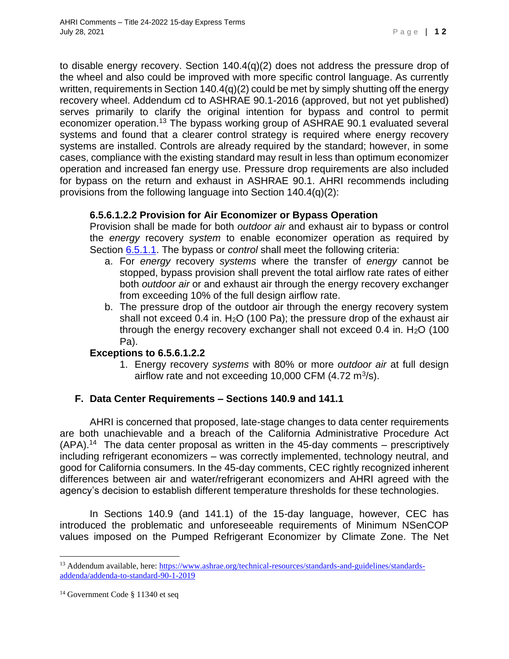to disable energy recovery. Section 140.4(q)(2) does not address the pressure drop of the wheel and also could be improved with more specific control language. As currently written, requirements in Section 140.4(q)(2) could be met by simply shutting off the energy recovery wheel. Addendum cd to ASHRAE 90.1-2016 (approved, but not yet published) serves primarily to clarify the original intention for bypass and control to permit economizer operation.<sup>13</sup> The bypass working group of ASHRAE 90.1 evaluated several systems and found that a clearer control strategy is required where energy recovery systems are installed. Controls are already required by the standard; however, in some cases, compliance with the existing standard may result in less than optimum economizer operation and increased fan energy use. Pressure drop requirements are also included for bypass on the return and exhaust in ASHRAE 90.1. AHRI recommends including provisions from the following language into Section 140.4(q)(2):

## **6.5.6.1.2.2 Provision for Air Economizer or Bypass Operation**

Provision shall be made for both *outdoor air* and exhaust air to bypass or control the *energy* recovery *system* to enable economizer operation as required by Section [6.5.1.1.](https://urldefense.proofpoint.com/v2/url?u=http-3A__6.5.1.1&d=DwQF-g&c=euGZstcaTDllvimEN8b7jXrwqOf-v5A_CdpgnVfiiMM&r=bTaAXQRIfpCyG_wQCjdPadC0pj5JjhTlvXRgYFLBVzs&m=_0tTCEmGMb6tA6kC5GKv2z-8praQJRAZu8N5ixEsyUk&s=bwVd2wpm9eSYv7OC0mfChFjpiqTh5sq2FoKtkZDUcVU&e=) The bypass or *control* shall meet the following criteria:

- a. For *energy* recovery *systems* where the transfer of *energy* cannot be stopped, bypass provision shall prevent the total airflow rate rates of either both *outdoor air* or and exhaust air through the energy recovery exchanger from exceeding 10% of the full design airflow rate.
- b. The pressure drop of the outdoor air through the energy recovery system shall not exceed 0.4 in.  $H<sub>2</sub>O$  (100 Pa); the pressure drop of the exhaust air through the energy recovery exchanger shall not exceed  $0.4$  in.  $H<sub>2</sub>O$  (100 Pa).

#### **Exceptions to 6.5.6.1.2.2**

1. Energy recovery *systems* with 80% or more *outdoor air* at full design airflow rate and not exceeding 10,000 CFM  $(4.72 \text{ m}^3/\text{s})$ .

## **F. Data Center Requirements – Sections 140.9 and 141.1**

AHRI is concerned that proposed, late-stage changes to data center requirements are both unachievable and a breach of the California Administrative Procedure Act  $(APA).<sup>14</sup>$  The data center proposal as written in the 45-day comments – prescriptively including refrigerant economizers – was correctly implemented, technology neutral, and good for California consumers. In the 45-day comments, CEC rightly recognized inherent differences between air and water/refrigerant economizers and AHRI agreed with the agency's decision to establish different temperature thresholds for these technologies.

In Sections 140.9 (and 141.1) of the 15-day language, however, CEC has introduced the problematic and unforeseeable requirements of Minimum NSenCOP values imposed on the Pumped Refrigerant Economizer by Climate Zone. The Net

<sup>&</sup>lt;sup>13</sup> Addendum available, here[: https://www.ashrae.org/technical-resources/standards-and-guidelines/standards](https://urldefense.proofpoint.com/v2/url?u=https-3A__www.ashrae.org_technical-2Dresources_standards-2Dand-2Dguidelines_standards-2Daddenda_addenda-2Dto-2Dstandard-2D90-2D1-2D2019&d=DwQF-g&c=euGZstcaTDllvimEN8b7jXrwqOf-v5A_CdpgnVfiiMM&r=bTaAXQRIfpCyG_wQCjdPadC0pj5JjhTlvXRgYFLBVzs&m=H7sot5-uNh1onCUxCj3tASt45kVI3mIrf3G8uU5Z-nQ&s=bHGz75Q3CgVb7MsJImhIlI84lDqXsEeZ_5_6FTevjGU&e=)[addenda/addenda-to-standard-90-1-2019](https://urldefense.proofpoint.com/v2/url?u=https-3A__www.ashrae.org_technical-2Dresources_standards-2Dand-2Dguidelines_standards-2Daddenda_addenda-2Dto-2Dstandard-2D90-2D1-2D2019&d=DwQF-g&c=euGZstcaTDllvimEN8b7jXrwqOf-v5A_CdpgnVfiiMM&r=bTaAXQRIfpCyG_wQCjdPadC0pj5JjhTlvXRgYFLBVzs&m=H7sot5-uNh1onCUxCj3tASt45kVI3mIrf3G8uU5Z-nQ&s=bHGz75Q3CgVb7MsJImhIlI84lDqXsEeZ_5_6FTevjGU&e=)

<sup>14</sup> Government Code § 11340 et seq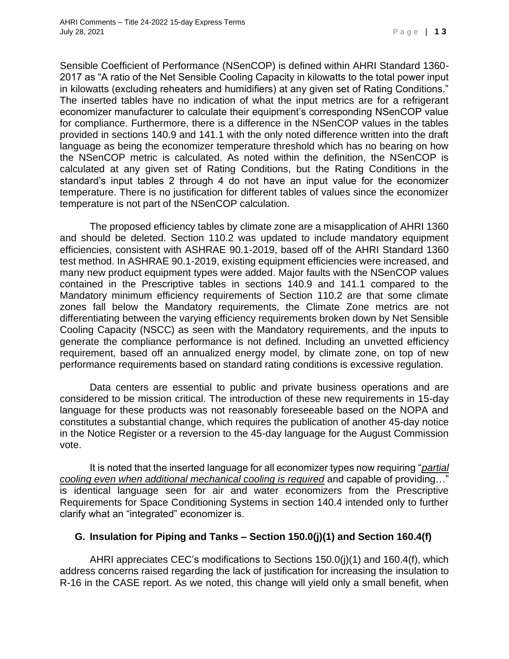Sensible Coefficient of Performance (NSenCOP) is defined within AHRI Standard 1360- 2017 as "A ratio of the Net Sensible Cooling Capacity in kilowatts to the total power input in kilowatts (excluding reheaters and humidifiers) at any given set of Rating Conditions." The inserted tables have no indication of what the input metrics are for a refrigerant economizer manufacturer to calculate their equipment's corresponding NSenCOP value for compliance. Furthermore, there is a difference in the NSenCOP values in the tables provided in sections 140.9 and 141.1 with the only noted difference written into the draft language as being the economizer temperature threshold which has no bearing on how the NSenCOP metric is calculated. As noted within the definition, the NSenCOP is calculated at any given set of Rating Conditions, but the Rating Conditions in the standard's input tables 2 through 4 do not have an input value for the economizer temperature. There is no justification for different tables of values since the economizer temperature is not part of the NSenCOP calculation.

The proposed efficiency tables by climate zone are a misapplication of AHRI 1360 and should be deleted. Section 110.2 was updated to include mandatory equipment efficiencies, consistent with ASHRAE 90.1-2019, based off of the AHRI Standard 1360 test method. In ASHRAE 90.1-2019, existing equipment efficiencies were increased, and many new product equipment types were added. Major faults with the NSenCOP values contained in the Prescriptive tables in sections 140.9 and 141.1 compared to the Mandatory minimum efficiency requirements of Section 110.2 are that some climate zones fall below the Mandatory requirements, the Climate Zone metrics are not differentiating between the varying efficiency requirements broken down by Net Sensible Cooling Capacity (NSCC) as seen with the Mandatory requirements, and the inputs to generate the compliance performance is not defined. Including an unvetted efficiency requirement, based off an annualized energy model, by climate zone, on top of new performance requirements based on standard rating conditions is excessive regulation.

Data centers are essential to public and private business operations and are considered to be mission critical. The introduction of these new requirements in 15-day language for these products was not reasonably foreseeable based on the NOPA and constitutes a substantial change, which requires the publication of another 45-day notice in the Notice Register or a reversion to the 45-day language for the August Commission vote.

It is noted that the inserted language for all economizer types now requiring "*partial cooling even when additional mechanical cooling is required* and capable of providing…" is identical language seen for air and water economizers from the Prescriptive Requirements for Space Conditioning Systems in section 140.4 intended only to further clarify what an "integrated" economizer is.

## **G. Insulation for Piping and Tanks – Section 150.0(j)(1) and Section 160.4(f)**

AHRI appreciates CEC's modifications to Sections 150.0(j)(1) and 160.4(f), which address concerns raised regarding the lack of justification for increasing the insulation to R-16 in the CASE report. As we noted, this change will yield only a small benefit, when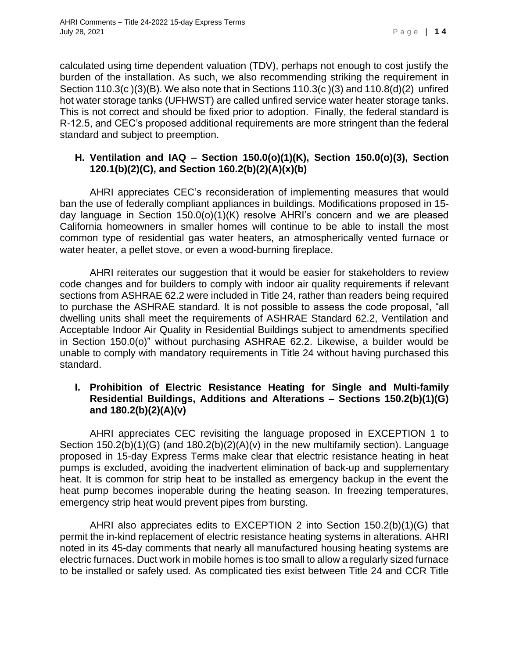calculated using time dependent valuation (TDV), perhaps not enough to cost justify the burden of the installation. As such, we also recommending striking the requirement in Section 110.3(c )(3)(B). We also note that in Sections 110.3(c )(3) and 110.8(d)(2) unfired hot water storage tanks (UFHWST) are called unfired service water heater storage tanks. This is not correct and should be fixed prior to adoption. Finally, the federal standard is R-12.5, and CEC's proposed additional requirements are more stringent than the federal standard and subject to preemption.

#### **H. Ventilation and IAQ – Section 150.0(o)(1)(K), Section 150.0(o)(3), Section 120.1(b)(2)(C), and Section 160.2(b)(2)(A)(x)(b)**

AHRI appreciates CEC's reconsideration of implementing measures that would ban the use of federally compliant appliances in buildings. Modifications proposed in 15 day language in Section 150.0(o)(1)(K) resolve AHRI's concern and we are pleased California homeowners in smaller homes will continue to be able to install the most common type of residential gas water heaters, an atmospherically vented furnace or water heater, a pellet stove, or even a wood-burning fireplace.

AHRI reiterates our suggestion that it would be easier for stakeholders to review code changes and for builders to comply with indoor air quality requirements if relevant sections from ASHRAE 62.2 were included in Title 24, rather than readers being required to purchase the ASHRAE standard. It is not possible to assess the code proposal, "all dwelling units shall meet the requirements of ASHRAE Standard 62.2, Ventilation and Acceptable Indoor Air Quality in Residential Buildings subject to amendments specified in Section 150.0(o)" without purchasing ASHRAE 62.2. Likewise, a builder would be unable to comply with mandatory requirements in Title 24 without having purchased this standard.

### **I. Prohibition of Electric Resistance Heating for Single and Multi-family Residential Buildings, Additions and Alterations – Sections 150.2(b)(1)(G) and 180.2(b)(2)(A)(v)**

AHRI appreciates CEC revisiting the language proposed in EXCEPTION 1 to Section 150.2(b)(1)(G) (and 180.2(b)(2)(A)(v) in the new multifamily section). Language proposed in 15-day Express Terms make clear that electric resistance heating in heat pumps is excluded, avoiding the inadvertent elimination of back-up and supplementary heat. It is common for strip heat to be installed as emergency backup in the event the heat pump becomes inoperable during the heating season. In freezing temperatures, emergency strip heat would prevent pipes from bursting.

AHRI also appreciates edits to EXCEPTION 2 into Section 150.2(b)(1)(G) that permit the in-kind replacement of electric resistance heating systems in alterations. AHRI noted in its 45-day comments that nearly all manufactured housing heating systems are electric furnaces. Duct work in mobile homes is too small to allow a regularly sized furnace to be installed or safely used. As complicated ties exist between Title 24 and CCR Title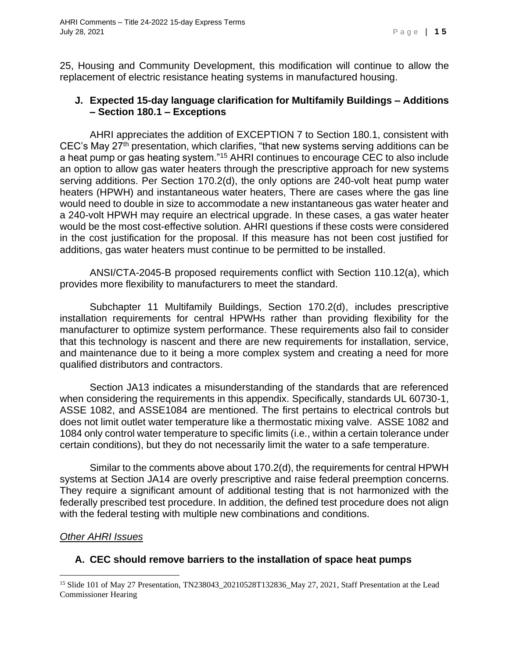25, Housing and Community Development, this modification will continue to allow the replacement of electric resistance heating systems in manufactured housing.

#### **J. Expected 15-day language clarification for Multifamily Buildings – Additions – Section 180.1 – Exceptions**

AHRI appreciates the addition of EXCEPTION 7 to Section 180.1, consistent with CEC's May  $27<sup>th</sup>$  presentation, which clarifies, "that new systems serving additions can be a heat pump or gas heating system."<sup>15</sup> AHRI continues to encourage CEC to also include an option to allow gas water heaters through the prescriptive approach for new systems serving additions. Per Section 170.2(d), the only options are 240-volt heat pump water heaters (HPWH) and instantaneous water heaters, There are cases where the gas line would need to double in size to accommodate a new instantaneous gas water heater and a 240-volt HPWH may require an electrical upgrade. In these cases, a gas water heater would be the most cost-effective solution. AHRI questions if these costs were considered in the cost justification for the proposal. If this measure has not been cost justified for additions, gas water heaters must continue to be permitted to be installed.

ANSI/CTA-2045-B proposed requirements conflict with Section 110.12(a), which provides more flexibility to manufacturers to meet the standard.

Subchapter 11 Multifamily Buildings, Section 170.2(d), includes prescriptive installation requirements for central HPWHs rather than providing flexibility for the manufacturer to optimize system performance. These requirements also fail to consider that this technology is nascent and there are new requirements for installation, service, and maintenance due to it being a more complex system and creating a need for more qualified distributors and contractors.

Section JA13 indicates a misunderstanding of the standards that are referenced when considering the requirements in this appendix. Specifically, standards UL 60730-1, ASSE 1082, and ASSE1084 are mentioned. The first pertains to electrical controls but does not limit outlet water temperature like a thermostatic mixing valve. ASSE 1082 and 1084 only control water temperature to specific limits (i.e., within a certain tolerance under certain conditions), but they do not necessarily limit the water to a safe temperature.

Similar to the comments above about 170.2(d), the requirements for central HPWH systems at Section JA14 are overly prescriptive and raise federal preemption concerns. They require a significant amount of additional testing that is not harmonized with the federally prescribed test procedure. In addition, the defined test procedure does not align with the federal testing with multiple new combinations and conditions.

#### *Other AHRI Issues*

## **A. CEC should remove barriers to the installation of space heat pumps**

<sup>&</sup>lt;sup>15</sup> Slide 101 of May 27 Presentation, TN238043\_20210528T132836\_May 27, 2021, Staff Presentation at the Lead Commissioner Hearing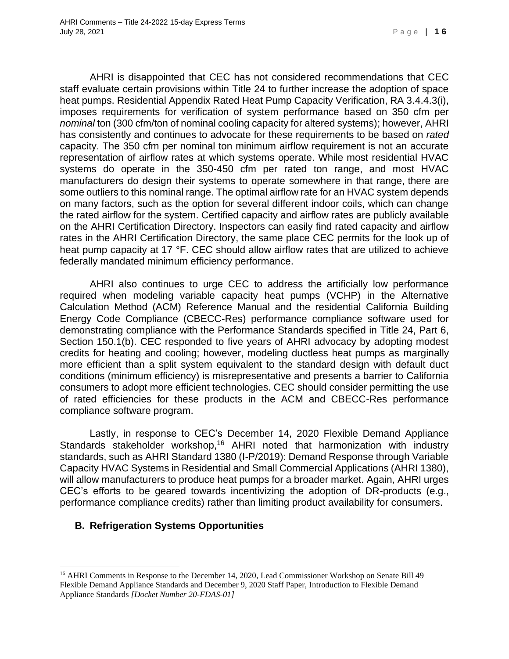AHRI is disappointed that CEC has not considered recommendations that CEC staff evaluate certain provisions within Title 24 to further increase the adoption of space heat pumps. Residential Appendix Rated Heat Pump Capacity Verification, RA 3.4.4.3(i), imposes requirements for verification of system performance based on 350 cfm per *nominal* ton (300 cfm/ton of nominal cooling capacity for altered systems); however, AHRI has consistently and continues to advocate for these requirements to be based on *rated*  capacity. The 350 cfm per nominal ton minimum airflow requirement is not an accurate representation of airflow rates at which systems operate. While most residential HVAC systems do operate in the 350-450 cfm per rated ton range, and most HVAC manufacturers do design their systems to operate somewhere in that range, there are some outliers to this nominal range. The optimal airflow rate for an HVAC system depends on many factors, such as the option for several different indoor coils, which can change the rated airflow for the system. Certified capacity and airflow rates are publicly available on the AHRI Certification Directory. Inspectors can easily find rated capacity and airflow rates in the AHRI Certification Directory, the same place CEC permits for the look up of heat pump capacity at 17 °F. CEC should allow airflow rates that are utilized to achieve federally mandated minimum efficiency performance.

AHRI also continues to urge CEC to address the artificially low performance required when modeling variable capacity heat pumps (VCHP) in the Alternative Calculation Method (ACM) Reference Manual and the residential California Building Energy Code Compliance (CBECC-Res) performance compliance software used for demonstrating compliance with the Performance Standards specified in Title 24, Part 6, Section 150.1(b). CEC responded to five years of AHRI advocacy by adopting modest credits for heating and cooling; however, modeling ductless heat pumps as marginally more efficient than a split system equivalent to the standard design with default duct conditions (minimum efficiency) is misrepresentative and presents a barrier to California consumers to adopt more efficient technologies. CEC should consider permitting the use of rated efficiencies for these products in the ACM and CBECC-Res performance compliance software program.

Lastly, in response to CEC's December 14, 2020 Flexible Demand Appliance Standards stakeholder workshop,<sup>16</sup> AHRI noted that harmonization with industry standards, such as AHRI Standard 1380 (I-P/2019): Demand Response through Variable Capacity HVAC Systems in Residential and Small Commercial Applications (AHRI 1380), will allow manufacturers to produce heat pumps for a broader market. Again, AHRI urges CEC's efforts to be geared towards incentivizing the adoption of DR-products (e.g., performance compliance credits) rather than limiting product availability for consumers.

#### **B. Refrigeration Systems Opportunities**

<sup>&</sup>lt;sup>16</sup> AHRI Comments in Response to the December 14, 2020, Lead Commissioner Workshop on Senate Bill 49 Flexible Demand Appliance Standards and December 9, 2020 Staff Paper, Introduction to Flexible Demand Appliance Standards *[Docket Number 20-FDAS-01]*